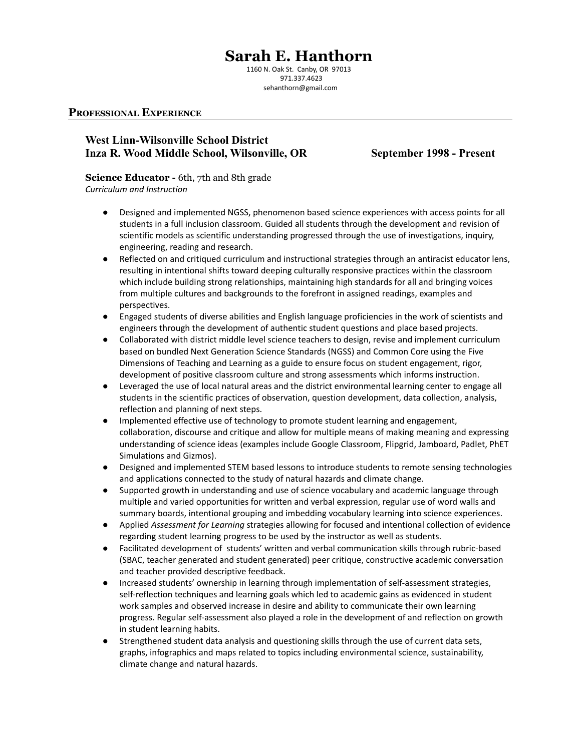# **Sarah E. Hanthorn**

1160 N. Oak St. Canby, OR 97013 971.337.4623 sehanthorn@gmail.com

#### **PROFESSIONAL EXPERIENCE**

# **West Linn-Wilsonville School District Inza R. Wood Middle School, Wilsonville, OR September 1998 - Present**

# **Science Educator -** 6th, 7th and 8th grade

*Curriculum and Instruction*

- Designed and implemented NGSS, phenomenon based science experiences with access points for all students in a full inclusion classroom. Guided all students through the development and revision of scientific models as scientific understanding progressed through the use of investigations, inquiry, engineering, reading and research.
- Reflected on and critiqued curriculum and instructional strategies through an antiracist educator lens, resulting in intentional shifts toward deeping culturally responsive practices within the classroom which include building strong relationships, maintaining high standards for all and bringing voices from multiple cultures and backgrounds to the forefront in assigned readings, examples and perspectives.
- Engaged students of diverse abilities and English language proficiencies in the work of scientists and engineers through the development of authentic student questions and place based projects.
- Collaborated with district middle level science teachers to design, revise and implement curriculum based on bundled Next Generation Science Standards (NGSS) and Common Core using the Five Dimensions of Teaching and Learning as a guide to ensure focus on student engagement, rigor, development of positive classroom culture and strong assessments which informs instruction.
- Leveraged the use of local natural areas and the district environmental learning center to engage all students in the scientific practices of observation, question development, data collection, analysis, reflection and planning of next steps.
- Implemented effective use of technology to promote student learning and engagement, collaboration, discourse and critique and allow for multiple means of making meaning and expressing understanding of science ideas (examples include Google Classroom, Flipgrid, Jamboard, Padlet, PhET Simulations and Gizmos).
- Designed and implemented STEM based lessons to introduce students to remote sensing technologies and applications connected to the study of natural hazards and climate change.
- Supported growth in understanding and use of science vocabulary and academic language through multiple and varied opportunities for written and verbal expression, regular use of word walls and summary boards, intentional grouping and imbedding vocabulary learning into science experiences.
- Applied *Assessment for Learning* strategies allowing for focused and intentional collection of evidence regarding student learning progress to be used by the instructor as well as students.
- Facilitated development of students' written and verbal communication skills through rubric-based (SBAC, teacher generated and student generated) peer critique, constructive academic conversation and teacher provided descriptive feedback.
- Increased students' ownership in learning through implementation of self-assessment strategies, self-reflection techniques and learning goals which led to academic gains as evidenced in student work samples and observed increase in desire and ability to communicate their own learning progress. Regular self-assessment also played a role in the development of and reflection on growth in student learning habits.
- Strengthened student data analysis and questioning skills through the use of current data sets, graphs, infographics and maps related to topics including environmental science, sustainability, climate change and natural hazards.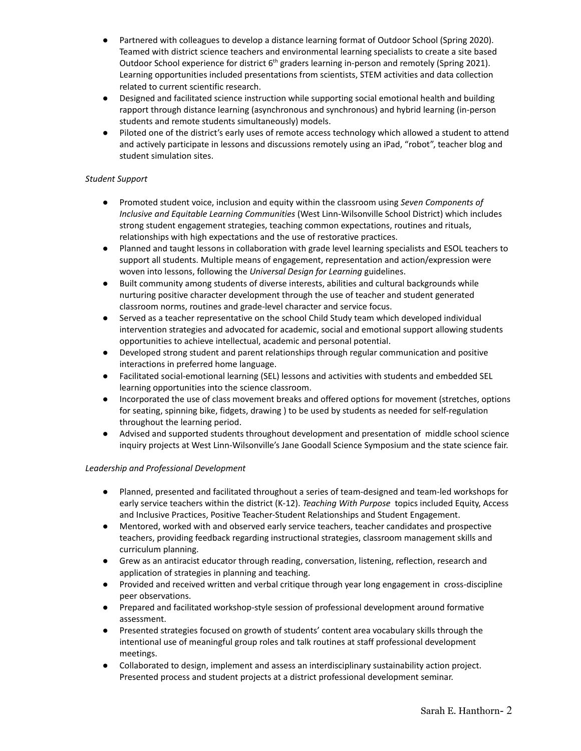- Partnered with colleagues to develop a distance learning format of Outdoor School (Spring 2020). Teamed with district science teachers and environmental learning specialists to create a site based Outdoor School experience for district  $6<sup>th</sup>$  graders learning in-person and remotely (Spring 2021). Learning opportunities included presentations from scientists, STEM activities and data collection related to current scientific research.
- Designed and facilitated science instruction while supporting social emotional health and building rapport through distance learning (asynchronous and synchronous) and hybrid learning (in-person students and remote students simultaneously) models.
- Piloted one of the district's early uses of remote access technology which allowed a student to attend and actively participate in lessons and discussions remotely using an iPad, "robot", teacher blog and student simulation sites.

#### *Student Support*

- Promoted student voice, inclusion and equity within the classroom using *Seven Components of Inclusive and Equitable Learning Communities* (West Linn-Wilsonville School District) which includes strong student engagement strategies, teaching common expectations, routines and rituals, relationships with high expectations and the use of restorative practices.
- Planned and taught lessons in collaboration with grade level learning specialists and ESOL teachers to support all students. Multiple means of engagement, representation and action/expression were woven into lessons, following the *Universal Design for Learning* guidelines.
- Built community among students of diverse interests, abilities and cultural backgrounds while nurturing positive character development through the use of teacher and student generated classroom norms, routines and grade-level character and service focus.
- Served as a teacher representative on the school Child Study team which developed individual intervention strategies and advocated for academic, social and emotional support allowing students opportunities to achieve intellectual, academic and personal potential.
- Developed strong student and parent relationships through regular communication and positive interactions in preferred home language.
- Facilitated social-emotional learning (SEL) lessons and activities with students and embedded SEL learning opportunities into the science classroom.
- Incorporated the use of class movement breaks and offered options for movement (stretches, options for seating, spinning bike, fidgets, drawing ) to be used by students as needed for self-regulation throughout the learning period.
- Advised and supported students throughout development and presentation of middle school science inquiry projects at West Linn-Wilsonville's Jane Goodall Science Symposium and the state science fair.

#### *Leadership and Professional Development*

- Planned, presented and facilitated throughout a series of team-designed and team-led workshops for early service teachers within the district (K-12). *Teaching With Purpose* topics included Equity, Access and Inclusive Practices, Positive Teacher-Student Relationships and Student Engagement.
- Mentored, worked with and observed early service teachers, teacher candidates and prospective teachers, providing feedback regarding instructional strategies, classroom management skills and curriculum planning.
- Grew as an antiracist educator through reading, conversation, listening, reflection, research and application of strategies in planning and teaching.
- Provided and received written and verbal critique through year long engagement in cross-discipline peer observations.
- Prepared and facilitated workshop-style session of professional development around formative assessment.
- Presented strategies focused on growth of students' content area vocabulary skills through the intentional use of meaningful group roles and talk routines at staff professional development meetings.
- Collaborated to design, implement and assess an interdisciplinary sustainability action project. Presented process and student projects at a district professional development seminar.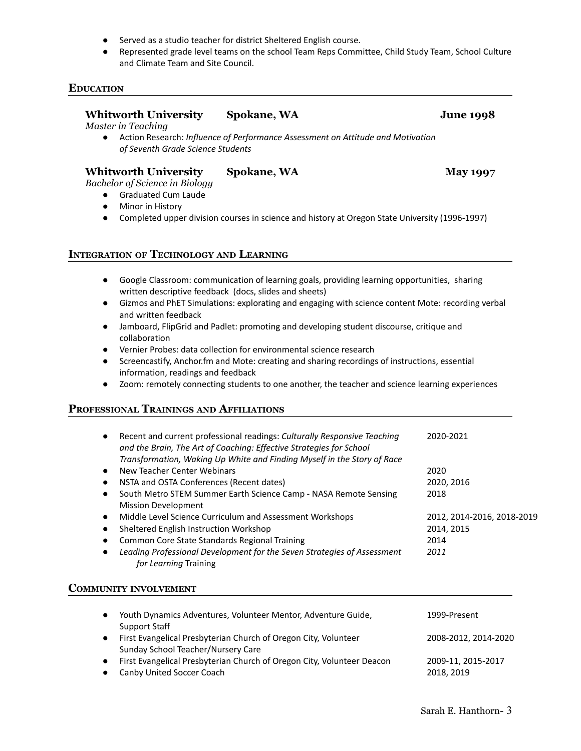- Served as a studio teacher for district Sheltered English course.
- Represented grade level teams on the school Team Reps Committee, Child Study Team, School Culture and Climate Team and Site Council.

### **EDUCATION**

### **Whitworth University Spokane, WA June 1998**

*Master in Teaching*

● Action Research: *Influence of Performance Assessment on Attitude and Motivation of Seventh Grade Science Students*

# **Whitworth University Spokane, WA May 1997**

*Bachelor of Science in Biology*

● Graduated Cum Laude

- Minor in History
- Completed upper division courses in science and history at Oregon State University (1996-1997)

#### **INTEGRATION OF TECHNOLOGY AND LEARNING**

- Google Classroom: communication of learning goals, providing learning opportunities, sharing written descriptive feedback (docs, slides and sheets)
- Gizmos and PhET Simulations: explorating and engaging with science content Mote: recording verbal and written feedback
- Jamboard, FlipGrid and Padlet: promoting and developing student discourse, critique and collaboration
- Vernier Probes: data collection for environmental science research
- Screencastify, Anchor.fm and Mote: creating and sharing recordings of instructions, essential information, readings and feedback
- Zoom: remotely connecting students to one another, the teacher and science learning experiences

#### **PROFESSIONAL TRAININGS AND AFFILIATIONS**

| $\bullet$ | Recent and current professional readings: Culturally Responsive Teaching<br>and the Brain, The Art of Coaching: Effective Strategies for School<br>Transformation, Waking Up White and Finding Myself in the Story of Race | 2020-2021                  |
|-----------|----------------------------------------------------------------------------------------------------------------------------------------------------------------------------------------------------------------------------|----------------------------|
|           | New Teacher Center Webinars                                                                                                                                                                                                | 2020                       |
|           | NSTA and OSTA Conferences (Recent dates)                                                                                                                                                                                   | 2020, 2016                 |
|           | South Metro STEM Summer Earth Science Camp - NASA Remote Sensing<br><b>Mission Development</b>                                                                                                                             | 2018                       |
|           | Middle Level Science Curriculum and Assessment Workshops                                                                                                                                                                   | 2012, 2014-2016, 2018-2019 |
|           | Sheltered English Instruction Workshop                                                                                                                                                                                     | 2014, 2015                 |
| $\bullet$ | Common Core State Standards Regional Training                                                                                                                                                                              | 2014                       |
|           | Leading Professional Development for the Seven Strategies of Assessment<br>for Learning Training                                                                                                                           | 2011                       |

#### **COMMUNITY INVOLVEMENT**

| Youth Dynamics Adventures, Volunteer Mentor, Adventure Guide,<br>Support Staff                             | 1999-Present                     |
|------------------------------------------------------------------------------------------------------------|----------------------------------|
| First Evangelical Presbyterian Church of Oregon City, Volunteer<br>Sunday School Teacher/Nursery Care      | 2008-2012, 2014-2020             |
| First Evangelical Presbyterian Church of Oregon City, Volunteer Deacon<br><b>Canby United Soccer Coach</b> | 2009-11, 2015-2017<br>2018, 2019 |